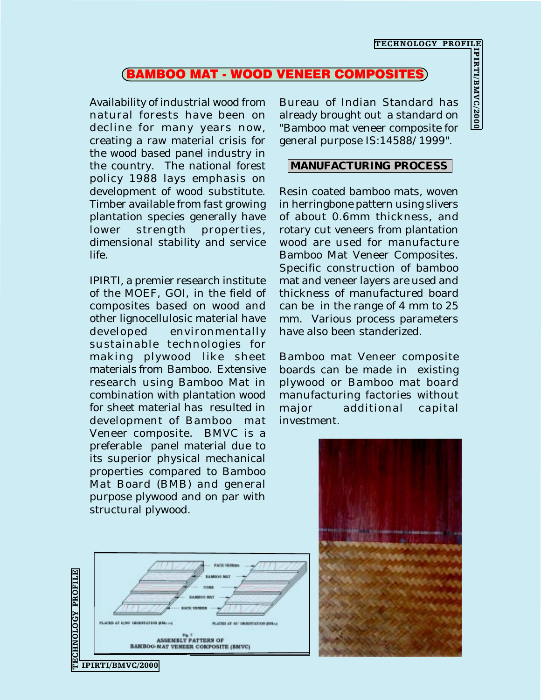## BAMBOO MAT - WOOD VENEER COMPOSITES

Availability of industrial wood from natural forests have been on decline for many years now, creating a raw material crisis for the wood based panel industry in the country. The national forest policy 1988 lays emphasis on development of wood substitute. Timber available from fast growing plantation species generally have lower strength properties, dimensional stability and service life.

IPIRTI, a premier research institute of the MOEF, GOI, in the field of composites based on wood and other lignocellulosic material have developed environmentally sustainable technologies for making plywood like sheet materials from Bamboo. Extensive research using Bamboo Mat in combination with plantation wood for sheet material has resulted in development of Bamboo mat Veneer composite. BMVC is a preferable panel material due to its superior physical mechanical properties compared to Bamboo Mat Board (BMB) and general purpose plywood and on par with structural plywood.

Bureau of Indian Standard has already brought out a standard on "Bamboo mat veneer composite for general purpose IS:14588/1999". TECHNOLOGY PROFILE<br> **OSITES**<br> **COSITES**<br> **COSITES**<br> **COSITES**<br> **COSITES**<br> **COSITES**<br> **COSITES**<br> **COSITES**<br> **COSITES**<br> **COSITES**<br> **COSITES** 

## **MANUFACTURING PROCESS**

Resin coated bamboo mats, woven in herringbone pattern using slivers of about 0.6mm thickness, and rotary cut veneers from plantation wood are used for manufacture Bamboo Mat Veneer Composites. Specific construction of bamboo mat and veneer layers are used and thickness of manufactured board can be in the range of 4 mm to 25 mm. Various process parameters have also been standerized.

Bamboo mat Veneer composite boards can be made in existing plywood or Bamboo mat board manufacturing factories without major additional capital investment.